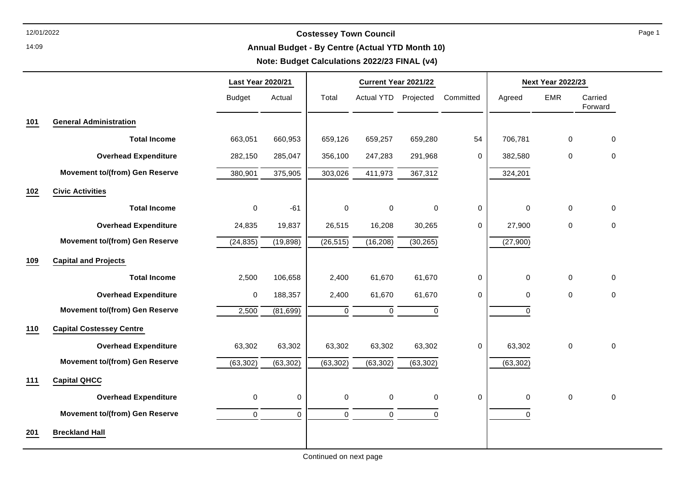14:09

# 12/01/2022 **Costessey Town Council**

### **Annual Budget - By Centre (Actual YTD Month 10)**

### **Note: Budget Calculations 2022/23 FINAL (v4)**

|     |                                       | <b>Last Year 2020/21</b> |           | Current Year 2021/22 |                      |             |             | <b>Next Year 2022/23</b> |                     |                    |
|-----|---------------------------------------|--------------------------|-----------|----------------------|----------------------|-------------|-------------|--------------------------|---------------------|--------------------|
|     |                                       | <b>Budget</b>            | Actual    | Total                | Actual YTD Projected |             | Committed   | Agreed                   | <b>EMR</b>          | Carried<br>Forward |
| 101 | <b>General Administration</b>         |                          |           |                      |                      |             |             |                          |                     |                    |
|     | <b>Total Income</b>                   | 663,051                  | 660,953   | 659,126              | 659,257              | 659,280     | 54          | 706,781                  | $\mathsf 0$         | $\mathbf 0$        |
|     | <b>Overhead Expenditure</b>           | 282,150                  | 285,047   | 356,100              | 247,283              | 291,968     | 0           | 382,580                  | $\mathsf{O}\xspace$ | $\pmb{0}$          |
|     | <b>Movement to/(from) Gen Reserve</b> | 380,901                  | 375,905   | 303,026              | 411,973              | 367,312     |             | 324,201                  |                     |                    |
| 102 | <b>Civic Activities</b>               |                          |           |                      |                      |             |             |                          |                     |                    |
|     | <b>Total Income</b>                   | $\mathbf 0$              | $-61$     | $\mathbf 0$          | 0                    | 0           | 0           | $\mathbf 0$              | $\mathsf{O}\xspace$ | $\mathbf 0$        |
|     | <b>Overhead Expenditure</b>           | 24,835                   | 19,837    | 26,515               | 16,208               | 30,265      | 0           | 27,900                   | 0                   | $\mathbf 0$        |
|     | <b>Movement to/(from) Gen Reserve</b> | (24, 835)                | (19, 898) | (26, 515)            | (16, 208)            | (30, 265)   |             | (27,900)                 |                     |                    |
| 109 | <b>Capital and Projects</b>           |                          |           |                      |                      |             |             |                          |                     |                    |
|     | <b>Total Income</b>                   | 2,500                    | 106,658   | 2,400                | 61,670               | 61,670      | 0           | $\mathbf 0$              | $\mathsf{O}\xspace$ | $\mathbf 0$        |
|     | <b>Overhead Expenditure</b>           | 0                        | 188,357   | 2,400                | 61,670               | 61,670      | 0           | 0                        | $\mathsf{O}\xspace$ | $\mathbf 0$        |
|     | <b>Movement to/(from) Gen Reserve</b> | 2,500                    | (81, 699) | $\boldsymbol{0}$     | 0                    | $\mathbf 0$ |             | $\mathbf 0$              |                     |                    |
| 110 | <b>Capital Costessey Centre</b>       |                          |           |                      |                      |             |             |                          |                     |                    |
|     | <b>Overhead Expenditure</b>           | 63,302                   | 63,302    | 63,302               | 63,302               | 63,302      | 0           | 63,302                   | $\mathsf{O}\xspace$ | $\mathbf 0$        |
|     | <b>Movement to/(from) Gen Reserve</b> | (63, 302)                | (63, 302) | (63, 302)            | (63, 302)            | (63, 302)   |             | (63, 302)                |                     |                    |
| 111 | <b>Capital QHCC</b>                   |                          |           |                      |                      |             |             |                          |                     |                    |
|     | <b>Overhead Expenditure</b>           | 0                        | 0         | 0                    | 0                    | $\pmb{0}$   | $\mathbf 0$ | $\mathbf 0$              | $\mathsf{O}\xspace$ | $\mathbf 0$        |
|     | <b>Movement to/(from) Gen Reserve</b> | 0                        | 0         | $\pmb{0}$            | 0                    | 0           |             | 0                        |                     |                    |
| 201 | <b>Breckland Hall</b>                 |                          |           |                      |                      |             |             |                          |                     |                    |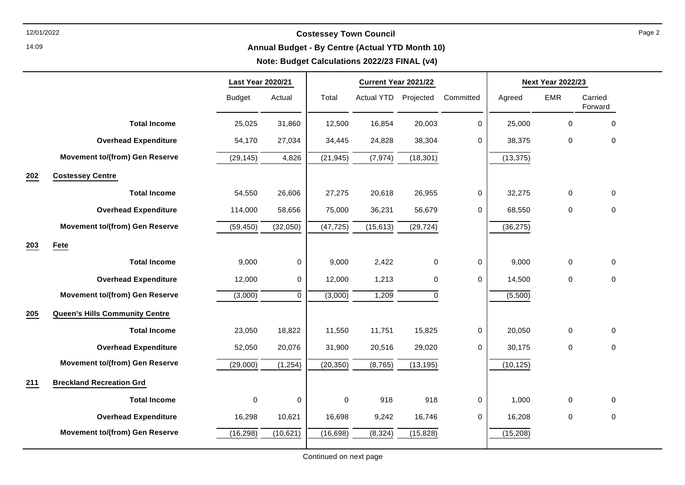14:09

# 12/01/2022 **Costessey Town Council**

### **Annual Budget - By Centre (Actual YTD Month 10)**

### **Note: Budget Calculations 2022/23 FINAL (v4)**

|     |                                       | <b>Last Year 2020/21</b> |           | Current Year 2021/22 |                   |           | <b>Next Year 2022/23</b> |           |             |                    |
|-----|---------------------------------------|--------------------------|-----------|----------------------|-------------------|-----------|--------------------------|-----------|-------------|--------------------|
|     |                                       | <b>Budget</b>            | Actual    | Total                | <b>Actual YTD</b> | Projected | Committed                | Agreed    | <b>EMR</b>  | Carried<br>Forward |
|     | <b>Total Income</b>                   | 25,025                   | 31,860    | 12,500               | 16,854            | 20,003    | $\mathbf 0$              | 25,000    | 0           | $\mathbf 0$        |
|     | <b>Overhead Expenditure</b>           | 54,170                   | 27,034    | 34,445               | 24,828            | 38,304    | $\mathbf 0$              | 38,375    | 0           | $\mathbf 0$        |
|     | <b>Movement to/(from) Gen Reserve</b> | (29, 145)                | 4,826     | (21, 945)            | (7, 974)          | (18, 301) |                          | (13, 375) |             |                    |
| 202 | <b>Costessey Centre</b>               |                          |           |                      |                   |           |                          |           |             |                    |
|     | <b>Total Income</b>                   | 54,550                   | 26,606    | 27,275               | 20,618            | 26,955    | 0                        | 32,275    | $\pmb{0}$   | 0                  |
|     | <b>Overhead Expenditure</b>           | 114,000                  | 58,656    | 75,000               | 36,231            | 56,679    | 0                        | 68,550    | 0           | $\mathbf 0$        |
|     | <b>Movement to/(from) Gen Reserve</b> | (59, 450)                | (32,050)  | (47, 725)            | (15, 613)         | (29, 724) |                          | (36, 275) |             |                    |
| 203 | Fete                                  |                          |           |                      |                   |           |                          |           |             |                    |
|     | <b>Total Income</b>                   | 9,000                    | $\pmb{0}$ | 9,000                | 2,422             | $\pmb{0}$ | $\mathsf{O}\xspace$      | 9,000     | $\pmb{0}$   | $\pmb{0}$          |
|     | <b>Overhead Expenditure</b>           | 12,000                   | 0         | 12,000               | 1,213             | $\pmb{0}$ | 0                        | 14,500    | 0           | $\pmb{0}$          |
|     | <b>Movement to/(from) Gen Reserve</b> | (3,000)                  | 0         | (3,000)              | 1,209             | 0         |                          | (5,500)   |             |                    |
| 205 | <b>Queen's Hills Community Centre</b> |                          |           |                      |                   |           |                          |           |             |                    |
|     | <b>Total Income</b>                   | 23,050                   | 18,822    | 11,550               | 11,751            | 15,825    | $\mathbf 0$              | 20,050    | $\mathbf 0$ | $\mathbf 0$        |
|     | <b>Overhead Expenditure</b>           | 52,050                   | 20,076    | 31,900               | 20,516            | 29,020    | 0                        | 30,175    | $\pmb{0}$   | $\pmb{0}$          |
|     | <b>Movement to/(from) Gen Reserve</b> | (29,000)                 | (1, 254)  | (20, 350)            | (8, 765)          | (13, 195) |                          | (10, 125) |             |                    |
| 211 | <b>Breckland Recreation Grd</b>       |                          |           |                      |                   |           |                          |           |             |                    |
|     | <b>Total Income</b>                   | 0                        | 0         | 0                    | 918               | 918       | 0                        | 1,000     | $\pmb{0}$   | $\mathbf 0$        |
|     | <b>Overhead Expenditure</b>           | 16,298                   | 10,621    | 16,698               | 9,242             | 16,746    | $\mathbf 0$              | 16,208    | $\pmb{0}$   | $\pmb{0}$          |
|     | <b>Movement to/(from) Gen Reserve</b> | (16, 298)                | (10, 621) | (16, 698)            | (8, 324)          | (15, 828) |                          | (15, 208) |             |                    |

Page 2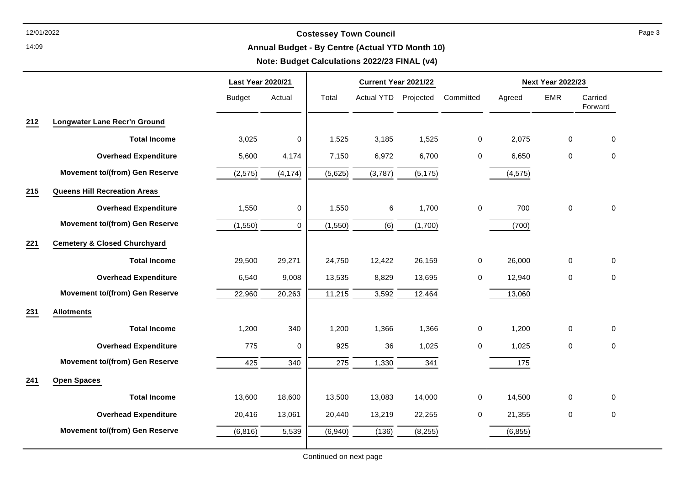14:09

# 12/01/2022 **Costessey Town Council**

### **Annual Budget - By Centre (Actual YTD Month 10)**

### **Note: Budget Calculations 2022/23 FINAL (v4)**

|     |                                         | <b>Last Year 2020/21</b> |           | Current Year 2021/22 |                      |          |             | <b>Next Year 2022/23</b> |                     |                    |  |
|-----|-----------------------------------------|--------------------------|-----------|----------------------|----------------------|----------|-------------|--------------------------|---------------------|--------------------|--|
|     |                                         | <b>Budget</b>            | Actual    | Total                | Actual YTD Projected |          | Committed   | Agreed                   | <b>EMR</b>          | Carried<br>Forward |  |
| 212 | <b>Longwater Lane Recr'n Ground</b>     |                          |           |                      |                      |          |             |                          |                     |                    |  |
|     | <b>Total Income</b>                     | 3,025                    | $\pmb{0}$ | 1,525                | 3,185                | 1,525    | 0           | 2,075                    | $\mathbf 0$         | $\pmb{0}$          |  |
|     | <b>Overhead Expenditure</b>             | 5,600                    | 4,174     | 7,150                | 6,972                | 6,700    | 0           | 6,650                    | 0                   | $\mathbf 0$        |  |
|     | <b>Movement to/(from) Gen Reserve</b>   | (2, 575)                 | (4, 174)  | (5,625)              | (3,787)              | (5, 175) |             | (4, 575)                 |                     |                    |  |
| 215 | <b>Queens Hill Recreation Areas</b>     |                          |           |                      |                      |          |             |                          |                     |                    |  |
|     | <b>Overhead Expenditure</b>             | 1,550                    | 0         | 1,550                | 6                    | 1,700    | 0           | 700                      | $\pmb{0}$           | 0                  |  |
|     | <b>Movement to/(from) Gen Reserve</b>   | (1,550)                  | $\pmb{0}$ | (1,550)              | (6)                  | (1,700)  |             | (700)                    |                     |                    |  |
| 221 | <b>Cemetery &amp; Closed Churchyard</b> |                          |           |                      |                      |          |             |                          |                     |                    |  |
|     | <b>Total Income</b>                     | 29,500                   | 29,271    | 24,750               | 12,422               | 26,159   | 0           | 26,000                   | $\mathbf 0$         | 0                  |  |
|     | <b>Overhead Expenditure</b>             | 6,540                    | 9,008     | 13,535               | 8,829                | 13,695   | $\mathbf 0$ | 12,940                   | $\mathbf 0$         | $\pmb{0}$          |  |
|     | <b>Movement to/(from) Gen Reserve</b>   | 22,960                   | 20,263    | 11,215               | 3,592                | 12,464   |             | 13,060                   |                     |                    |  |
| 231 | <b>Allotments</b>                       |                          |           |                      |                      |          |             |                          |                     |                    |  |
|     | <b>Total Income</b>                     | 1,200                    | 340       | 1,200                | 1,366                | 1,366    | 0           | 1,200                    | $\mathbf 0$         | $\mathbf 0$        |  |
|     | <b>Overhead Expenditure</b>             | 775                      | 0         | 925                  | 36                   | 1,025    | 0           | 1,025                    | $\mathsf{O}\xspace$ | 0                  |  |
|     | <b>Movement to/(from) Gen Reserve</b>   | 425                      | 340       | 275                  | 1,330                | 341      |             | 175                      |                     |                    |  |
| 241 | <b>Open Spaces</b>                      |                          |           |                      |                      |          |             |                          |                     |                    |  |
|     | <b>Total Income</b>                     | 13,600                   | 18,600    | 13,500               | 13,083               | 14,000   | $\pmb{0}$   | 14,500                   | $\pmb{0}$           | $\mathbf 0$        |  |
|     | <b>Overhead Expenditure</b>             | 20,416                   | 13,061    | 20,440               | 13,219               | 22,255   | 0           | 21,355                   | $\pmb{0}$           | 0                  |  |
|     | <b>Movement to/(from) Gen Reserve</b>   | (6, 816)                 | 5,539     | (6,940)              | (136)                | (8, 255) |             | (6, 855)                 |                     |                    |  |
|     |                                         |                          |           |                      |                      |          |             |                          |                     |                    |  |

Continued on next page